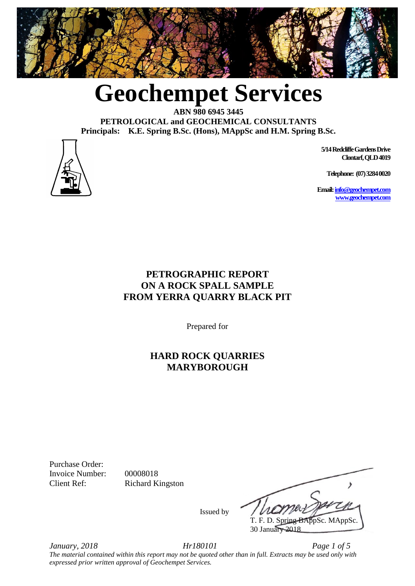

**Geochempet Services**

**ABN 980 6945 3445 PETROLOGICAL and GEOCHEMICAL CONSULTANTS Principals: K.E. Spring B.Sc. (Hons), MAppSc and H.M. Spring B.Sc.**



 **5/14 Redcliffe Gardens Drive Clontarf, QLD 4019**

**Telephone: (07) 3284 0020**

**Email[: info@geochempet.com](mailto:info@geochempet.com) [www.geochempet.com](http://www.geochempet.com/)**

## **PETROGRAPHIC REPORT ON A ROCK SPALL SAMPLE FROM YERRA QUARRY BLACK PIT**

Prepared for

### **HARD ROCK QUARRIES MARYBOROUGH**

Purchase Order: Invoice Number: 00008018

Client Ref: Richard Kingston

 $\overline{\phantom{a}}$  T. F. D. Spring BAppSc. MAppSc. 30 January 2018

Issued by

*January, 2018 Hr180101 Page 1 of 5 The material contained within this report may not be quoted other than in full. Extracts may be used only with expressed prior written approval of Geochempet Services.*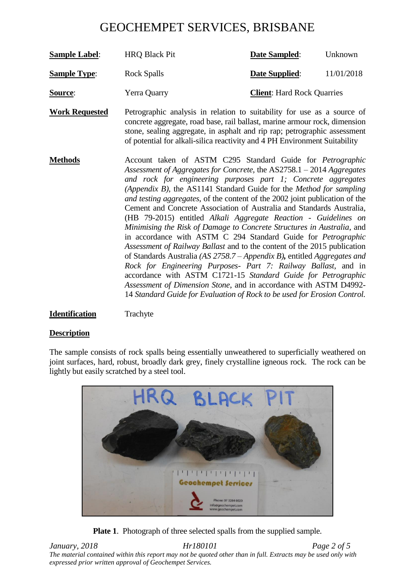| <b>Sample Label:</b> | <b>HRQ Black Pit</b> | Date Sampled:                     | Unknown    |
|----------------------|----------------------|-----------------------------------|------------|
| <b>Sample Type:</b>  | <b>Rock Spalls</b>   | <b>Date Supplied:</b>             | 11/01/2018 |
| Source:              | Yerra Quarry         | <b>Client:</b> Hard Rock Quarries |            |

**Work Requested** Petrographic analysis in relation to suitability for use as a source of concrete aggregate, road base, rail ballast, marine armour rock, dimension stone, sealing aggregate, in asphalt and rip rap; petrographic assessment of potential for alkali-silica reactivity and 4 PH Environment Suitability

**Methods** Account taken of ASTM C295 Standard Guide for *Petrographic Assessment of Aggregates for Concrete,* the AS2758.1 – 2014 *Aggregates and rock for engineering purposes part 1; Concrete aggregates (Appendix B),* the AS1141 Standard Guide for the *Method for sampling and testing aggregates*, of the content of the 2002 joint publication of the Cement and Concrete Association of Australia and Standards Australia*,* (HB 79-2015) entitled *Alkali Aggregate Reaction - Guidelines on Minimising the Risk of Damage to Concrete Structures in Australia*, and in accordance with ASTM C 294 Standard Guide for *Petrographic Assessment of Railway Ballast* and to the content of the 2015 publication of Standards Australia *(AS 2758.7 – Appendix B),* entitled *Aggregates and Rock for Engineering Purposes- Part 7: Railway Ballast,* and in accordance with ASTM C1721-15 *Standard Guide for Petrographic Assessment of Dimension Stone*, and in accordance with ASTM D4992- 14 *Standard Guide for Evaluation of Rock to be used for Erosion Control.*

#### **Identification** Trachyte

#### **Description**

The sample consists of rock spalls being essentially unweathered to superficially weathered on joint surfaces, hard, robust, broadly dark grey, finely crystalline igneous rock. The rock can be lightly but easily scratched by a steel tool.



**Plate 1**. Photograph of three selected spalls from the supplied sample.

*January, 2018 Hr180101 Page 2 of 5 The material contained within this report may not be quoted other than in full. Extracts may be used only with expressed prior written approval of Geochempet Services.*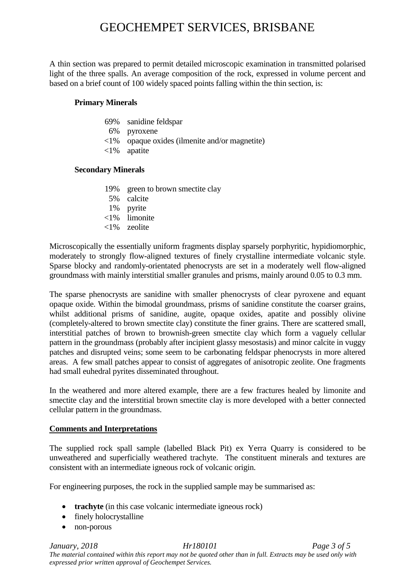A thin section was prepared to permit detailed microscopic examination in transmitted polarised light of the three spalls. An average composition of the rock, expressed in volume percent and based on a brief count of 100 widely spaced points falling within the thin section, is:

#### **Primary Minerals**

- 69% sanidine feldspar
- 6% pyroxene
- <1% opaque oxides (ilmenite and/or magnetite)
- <1% apatite

#### **Secondary Minerals**

- 19% green to brown smectite clay
- 5% calcite
- 1% pyrite
- <1% limonite
- <1% zeolite

Microscopically the essentially uniform fragments display sparsely porphyritic, hypidiomorphic, moderately to strongly flow-aligned textures of finely crystalline intermediate volcanic style. Sparse blocky and randomly-orientated phenocrysts are set in a moderately well flow-aligned groundmass with mainly interstitial smaller granules and prisms, mainly around 0.05 to 0.3 mm.

The sparse phenocrysts are sanidine with smaller phenocrysts of clear pyroxene and equant opaque oxide. Within the bimodal groundmass, prisms of sanidine constitute the coarser grains, whilst additional prisms of sanidine, augite, opaque oxides, apatite and possibly olivine (completely-altered to brown smectite clay) constitute the finer grains. There are scattered small, interstitial patches of brown to brownish-green smectite clay which form a vaguely cellular pattern in the groundmass (probably after incipient glassy mesostasis) and minor calcite in vuggy patches and disrupted veins; some seem to be carbonating feldspar phenocrysts in more altered areas. A few small patches appear to consist of aggregates of anisotropic zeolite. One fragments had small euhedral pyrites disseminated throughout.

In the weathered and more altered example, there are a few fractures healed by limonite and smectite clay and the interstitial brown smectite clay is more developed with a better connected cellular pattern in the groundmass.

#### **Comments and Interpretations**

The supplied rock spall sample (labelled Black Pit) ex Yerra Quarry is considered to be unweathered and superficially weathered trachyte.The constituent minerals and textures are consistent with an intermediate igneous rock of volcanic origin.

For engineering purposes, the rock in the supplied sample may be summarised as:

- **trachyte** (in this case volcanic intermediate igneous rock)
- finely holocrystalline
- non-porous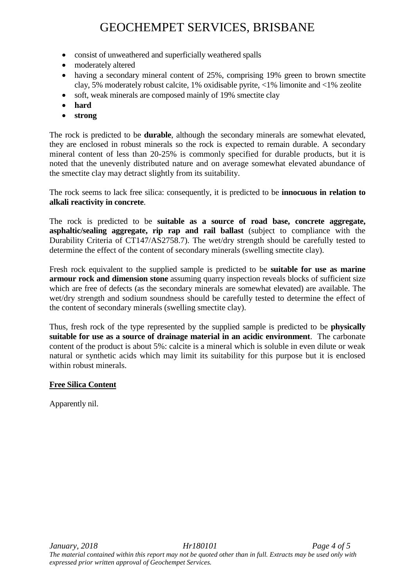- consist of unweathered and superficially weathered spalls
- moderately altered
- having a secondary mineral content of 25%, comprising 19% green to brown smectite clay, 5% moderately robust calcite, 1% oxidisable pyrite, <1% limonite and <1% zeolite
- soft, weak minerals are composed mainly of 19% smectite clay
- **hard**
- **strong**

The rock is predicted to be **durable**, although the secondary minerals are somewhat elevated, they are enclosed in robust minerals so the rock is expected to remain durable. A secondary mineral content of less than 20-25% is commonly specified for durable products, but it is noted that the unevenly distributed nature and on average somewhat elevated abundance of the smectite clay may detract slightly from its suitability.

The rock seems to lack free silica: consequently, it is predicted to be **innocuous in relation to alkali reactivity in concrete**.

The rock is predicted to be **suitable as a source of road base, concrete aggregate, asphaltic/sealing aggregate, rip rap and rail ballast** (subject to compliance with the Durability Criteria of CT147/AS2758.7). The wet/dry strength should be carefully tested to determine the effect of the content of secondary minerals (swelling smectite clay).

Fresh rock equivalent to the supplied sample is predicted to be **suitable for use as marine armour rock and dimension stone** assuming quarry inspection reveals blocks of sufficient size which are free of defects (as the secondary minerals are somewhat elevated) are available. The wet/dry strength and sodium soundness should be carefully tested to determine the effect of the content of secondary minerals (swelling smectite clay).

Thus, fresh rock of the type represented by the supplied sample is predicted to be **physically suitable for use as a source of drainage material in an acidic environment**. The carbonate content of the product is about 5%: calcite is a mineral which is soluble in even dilute or weak natural or synthetic acids which may limit its suitability for this purpose but it is enclosed within robust minerals.

#### **Free Silica Content**

Apparently nil.